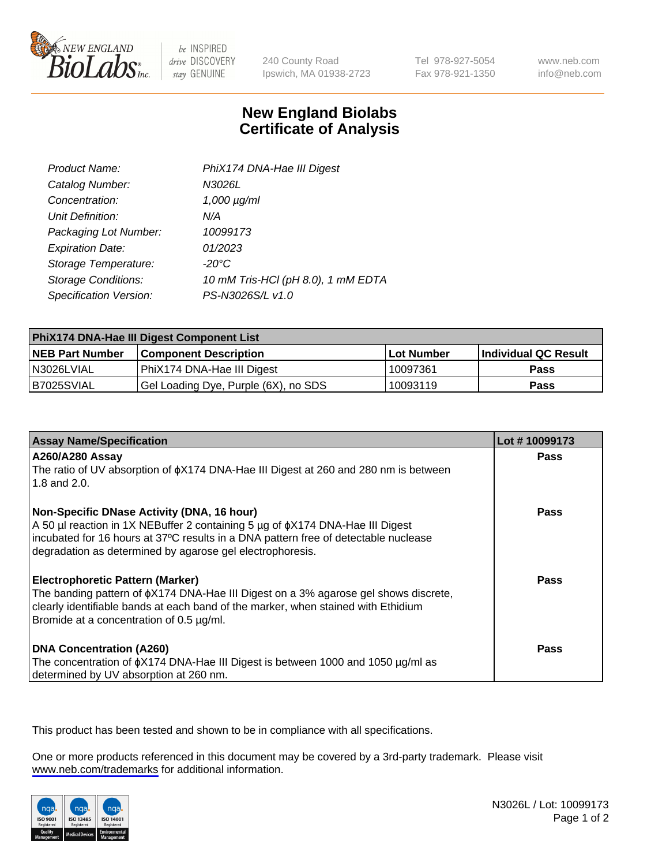

be INSPIRED drive DISCOVERY stay GENUINE

240 County Road Ipswich, MA 01938-2723 Tel 978-927-5054 Fax 978-921-1350

www.neb.com info@neb.com

## **New England Biolabs Certificate of Analysis**

| Product Name:              | PhiX174 DNA-Hae III Digest         |
|----------------------------|------------------------------------|
| Catalog Number:            | N3026L                             |
| Concentration:             | $1,000 \mu g/ml$                   |
| Unit Definition:           | N/A                                |
| Packaging Lot Number:      | 10099173                           |
| <b>Expiration Date:</b>    | 01/2023                            |
| Storage Temperature:       | -20°C                              |
| <b>Storage Conditions:</b> | 10 mM Tris-HCl (pH 8.0), 1 mM EDTA |
| Specification Version:     | PS-N3026S/L v1.0                   |

| PhiX174 DNA-Hae III Digest Component List |                                      |            |                      |  |
|-------------------------------------------|--------------------------------------|------------|----------------------|--|
| <b>NEB Part Number</b>                    | <b>Component Description</b>         | Lot Number | Individual QC Result |  |
| N3026LVIAL                                | PhiX174 DNA-Hae III Digest           | 10097361   | <b>Pass</b>          |  |
| B7025SVIAL                                | Gel Loading Dye, Purple (6X), no SDS | 10093119   | <b>Pass</b>          |  |

| <b>Assay Name/Specification</b>                                                                                                                                                | Lot #10099173 |
|--------------------------------------------------------------------------------------------------------------------------------------------------------------------------------|---------------|
| A260/A280 Assay<br>The ratio of UV absorption of $\phi$ X174 DNA-Hae III Digest at 260 and 280 nm is between                                                                   | <b>Pass</b>   |
| 1.8 and 2.0.                                                                                                                                                                   |               |
| Non-Specific DNase Activity (DNA, 16 hour)                                                                                                                                     | Pass          |
| A 50 µl reaction in 1X NEBuffer 2 containing 5 µg of $\phi$ X174 DNA-Hae III Digest                                                                                            |               |
| incubated for 16 hours at 37°C results in a DNA pattern free of detectable nuclease<br>degradation as determined by agarose gel electrophoresis.                               |               |
|                                                                                                                                                                                |               |
| <b>Electrophoretic Pattern (Marker)</b>                                                                                                                                        | Pass          |
| The banding pattern of $\phi$ X174 DNA-Hae III Digest on a 3% agarose gel shows discrete,<br>clearly identifiable bands at each band of the marker, when stained with Ethidium |               |
| Bromide at a concentration of 0.5 µg/ml.                                                                                                                                       |               |
|                                                                                                                                                                                |               |
| <b>DNA Concentration (A260)</b>                                                                                                                                                | Pass          |
| The concentration of $\phi$ X174 DNA-Hae III Digest is between 1000 and 1050 µg/ml as                                                                                          |               |
| determined by UV absorption at 260 nm.                                                                                                                                         |               |

This product has been tested and shown to be in compliance with all specifications.

One or more products referenced in this document may be covered by a 3rd-party trademark. Please visit <www.neb.com/trademarks>for additional information.